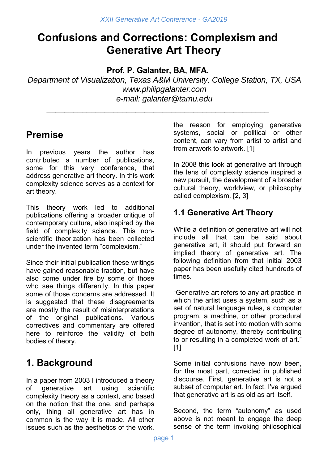# **Confusions and Corrections: Complexism and Generative Art Theory**

**Prof. P. Galanter, BA, MFA.** 

\_\_\_\_\_\_\_\_\_\_\_\_\_\_\_\_\_\_\_\_\_\_\_\_\_\_\_\_\_\_\_\_\_\_\_\_\_\_\_\_\_\_\_\_\_\_\_\_\_\_

*Department of Visualization, Texas A&M University, College Station, TX, USA www.philipgalanter.com e-mail: galanter@tamu.edu* 

# **Premise**

In previous years the author has contributed a number of publications, some for this very conference, that address generative art theory. In this work complexity science serves as a context for art theory.

This theory work led to additional publications offering a broader critique of contemporary culture, also inspired by the field of complexity science. This nonscientific theorization has been collected under the invented term "complexism."

Since their initial publication these writings have gained reasonable traction, but have also come under fire by some of those who see things differently. In this paper some of those concerns are addressed. It is suggested that these disagreements are mostly the result of misinterpretations of the original publications. Various correctives and commentary are offered here to reinforce the validity of both bodies of theory.

## **1. Background**

In a paper from 2003 I introduced a theory of generative art using scientific complexity theory as a context, and based on the notion that the one, and perhaps only, thing all generative art has in common is the way it is made. All other issues such as the aesthetics of the work,

the reason for employing generative systems, social or political or other content, can vary from artist to artist and from artwork to artwork. [1]

In 2008 this look at generative art through the lens of complexity science inspired a new pursuit, the development of a broader cultural theory, worldview, or philosophy called complexism. [2, 3]

### **1.1 Generative Art Theory**

While a definition of generative art will not include all that can be said about generative art, it should put forward an implied theory of generative art. The following definition from that initial 2003 paper has been usefully cited hundreds of times.

"Generative art refers to any art practice in which the artist uses a system, such as a set of natural language rules, a computer program, a machine, or other procedural invention, that is set into motion with some degree of autonomy, thereby contributing to or resulting in a completed work of art." [1]

Some initial confusions have now been, for the most part, corrected in published discourse. First, generative art is not a subset of computer art. In fact, I've argued that generative art is as old as art itself.

Second, the term "autonomy" as used above is not meant to engage the deep sense of the term invoking philosophical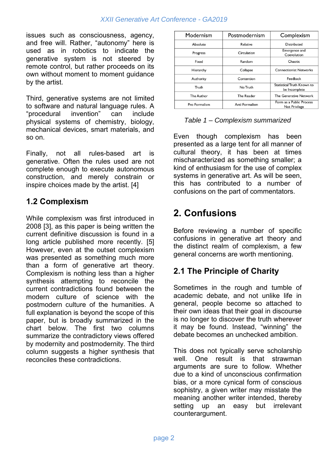#### *XXII Generative Art Conference - GA2019*

issues such as consciousness, agency, and free will. Rather, "autonomy" here is used as in robotics to indicate the generative system is not steered by remote control, but rather proceeds on its own without moment to moment guidance by the artist.

Third, generative systems are not limited to software and natural language rules. A "procedural invention" can include physical systems of chemistry, biology, mechanical devices, smart materials, and so on.

Finally, not all rules-based art is generative. Often the rules used are not complete enough to execute autonomous construction, and merely constrain or inspire choices made by the artist. [4]

### **1.2 Complexism**

While complexism was first introduced in 2008 [3], as this paper is being written the current definitive discussion is found in a long article published more recently. [5] However, even at the outset complexism was presented as something much more than a form of generative art theory. Complexism is nothing less than a higher synthesis attempting to reconcile the current contradictions found between the modern culture of science with the postmodern culture of the humanities. A full explanation is beyond the scope of this paper, but is broadly summarized in the chart below. The first two columns summarize the contradictory views offered by modernity and postmodernity. The third column suggests a higher synthesis that reconciles these contradictions.

| Modernism     | Postmodernism     | Complexism                                  |
|---------------|-------------------|---------------------------------------------|
| Absolute      | Relative          | Distributed                                 |
| Progress      | Circulation       | Emergence and<br>Coevolution                |
| Fixed         | Random            | Chaotic                                     |
| Hierarchy     | Collapse          | <b>Connectionist Networks</b>               |
| Authority     | Contention        | Feedback                                    |
| Truth         | No Truth          | Statistical Truth Known to<br>be Incomplete |
| The Author    | <b>The Reader</b> | The Generative Network                      |
| Pro Formalism | Anti Formalism    | Form as a Public Process<br>Not Privilege   |

|  | Table 1 – Complexism summarized |  |
|--|---------------------------------|--|
|--|---------------------------------|--|

Even though complexism has been presented as a large tent for all manner of cultural theory, it has been at times mischaracterized as something smaller; a kind of enthusiasm for the use of complex systems in generative art. As will be seen, this has contributed to a number of confusions on the part of commentators.

## **2. Confusions**

Before reviewing a number of specific confusions in generative art theory and the distinct realm of complexism, a few general concerns are worth mentioning.

### **2.1 The Principle of Charity**

Sometimes in the rough and tumble of academic debate, and not unlike life in general, people become so attached to their own ideas that their goal in discourse is no longer to discover the truth wherever it may be found. Instead, "winning" the debate becomes an unchecked ambition.

This does not typically serve scholarship well. One result is that strawman arguments are sure to follow. Whether due to a kind of unconscious confirmation bias, or a more cynical form of conscious sophistry, a given writer may misstate the meaning another writer intended, thereby setting up an easy but irrelevant counterargument.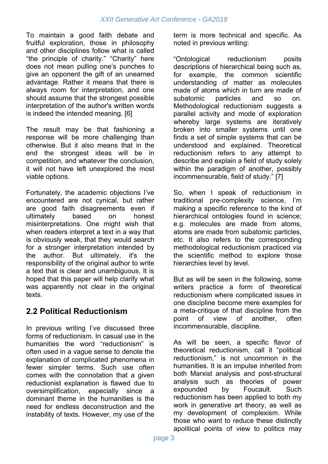To maintain a good faith debate and fruitful exploration, those in philosophy and other disciplines follow what is called "the principle of charity." "Charity" here does not mean pulling one's punches to give an opponent the gift of an unearned advantage. Rather it means that there is always room for interpretation, and one should assume that the strongest possible interpretation of the author's written words is indeed the intended meaning. [6]

The result may be that fashioning a response will be more challenging than otherwise. But it also means that in the end the strongest ideas will be in competition, and whatever the conclusion, it will not have left unexplored the most viable options.

Fortunately, the academic objections I've encountered are not cynical, but rather are good faith disagreements even if ultimately based on honest misinterpretations. One might wish that when readers interpret a text in a way that is obviously weak, that they would search for a stronger interpretation intended by the author. But ultimately, it's the responsibility of the original author to write a text that is clear and unambiguous. It is hoped that this paper will help clarify what was apparently not clear in the original texts.

### **2.2 Political Reductionism**

In previous writing I've discussed three forms of reductionism. In casual use in the humanities the word "reductionism" is often used in a vague sense to denote the explanation of complicated phenomena in fewer simpler terms. Such use often comes with the connotation that a given reductionist explanation is flawed due to oversimplification, especially since a dominant theme in the humanities is the need for endless deconstruction and the instability of texts. However, my use of the term is more technical and specific. As noted in previous writing:

"Ontological reductionism posits descriptions of hierarchical being such as, for example, the common scientific understanding of matter as molecules made of atoms which in turn are made of subatomic particles and so on. Methodological reductionism suggests a parallel activity and mode of exploration whereby large systems are iteratively broken into smaller systems until one finds a set of simple systems that can be understood and explained. Theoretical reductionism refers to any attempt to describe and explain a field of study solely within the paradigm of another, possibly incommensurable, field of study." [7]

So, when I speak of reductionism in traditional pre-complexity science, I'm making a specific reference to the kind of hierarchical ontologies found in science; e.g. molecules are made from atoms, atoms are made from subatomic particles, etc. It also refers to the corresponding methodological reductionism practiced via the scientific method to explore those hierarchies level by level.

But as will be seen in the following, some writers practice a form of theoretical reductionism where complicated issues in one discipline become mere examples for a meta-critique of that discipline from the point of view of another, often incommensurable, discipline.

As will be seen, a specific flavor of theoretical reductionism, call it "political reductionism," is not uncommon in the humanities. It is an impulse inherited from both Marxist analysis and post-structural analysis such as theories of power expounded by Foucault. Such reductionism has been applied to both my work in generative art theory, as well as my development of complexism. While those who want to reduce these distinctly apolitical points of view to politics may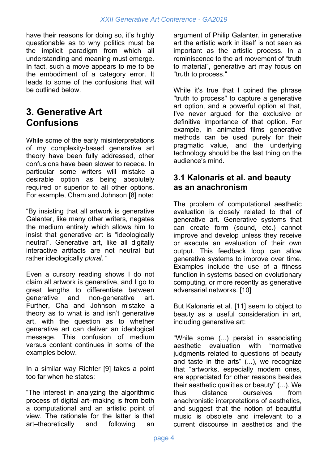have their reasons for doing so, it's highly questionable as to why politics must be the implicit paradigm from which all understanding and meaning must emerge. In fact, such a move appears to me to be the embodiment of a category error. It leads to some of the confusions that will be outlined below.

### **3. Generative Art Confusions**

While some of the early misinterpretations of my complexity-based generative art theory have been fully addressed, other confusions have been slower to recede. In particular some writers will mistake a desirable option as being absolutely required or superior to all other options. For example, Cham and Johnson [8] note:

"By insisting that all artwork is generative Galanter, like many other writers, negates the medium entirely which allows him to insist that generative art is "ideologically neutral". Generative art, like all digitally interactive artifacts are not neutral but rather ideologically *plural*. "

Even a cursory reading shows I do not claim all artwork is generative, and I go to great lengths to differentiate between generative and non-generative art. Further, Cha and Johnson mistake a theory as to what is and isn't generative art, with the question as to whether generative art can deliver an ideological message. This confusion of medium versus content continues in some of the examples below.

In a similar way Richter [9] takes a point too far when he states:

"The interest in analyzing the algorithmic process of digital art–making is from both a computational and an artistic point of view. The rationale for the latter is that art–theoretically and following an

argument of Philip Galanter, in generative art the artistic work in itself is not seen as important as the artistic process. In a reminiscence to the art movement of "truth to material", generative art may focus on "truth to process."

While it's true that I coined the phrase "truth to process" to capture a generative art option, and a powerful option at that, I've never argued for the exclusive or definitive importance of that option. For example, in animated films generative methods can be used purely for their pragmatic value, and the underlying technology should be the last thing on the audience's mind.

#### **3.1 Kalonaris et al. and beauty as an anachronism**

The problem of computational aesthetic evaluation is closely related to that of generative art. Generative systems that can create form (sound, etc.) cannot improve and develop unless they receive or execute an evaluation of their own output. This feedback loop can allow generative systems to improve over time. Examples include the use of a fitness function in systems based on evolutionary computing, or more recently as generative adversarial networks. [10]

But Kalonaris et al. [11] seem to object to beauty as a useful consideration in art, including generative art:

"While some (...) persist in associating aesthetic evaluation with "normative judgments related to questions of beauty and taste in the arts" (...), we recognize that "artworks, especially modern ones, are appreciated for other reasons besides their aesthetic qualities or beauty" (...). We thus distance ourselves from anachronistic interpretations of aesthetics, and suggest that the notion of beautiful music is obsolete and irrelevant to a current discourse in aesthetics and the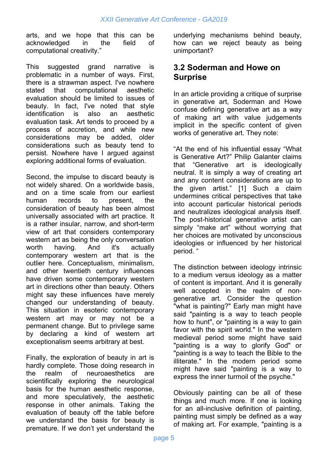arts, and we hope that this can be acknowledged in the field of computational creativity."

This suggested grand narrative is problematic in a number of ways. First, there is a strawman aspect. I've nowhere stated that computational aesthetic evaluation should be limited to issues of beauty. In fact, I've noted that style identification is also an aesthetic evaluation task. Art tends to proceed by a process of accretion, and while new considerations may be added, older considerations such as beauty tend to persist. Nowhere have I argued against exploring additional forms of evaluation.

Second, the impulse to discard beauty is not widely shared. On a worldwide basis, and on a time scale from our earliest human records to present, the consideration of beauty has been almost universally associated with art practice. It is a rather insular, narrow, and short-term view of art that considers contemporary western art as being the only conversation worth having. And it's actually contemporary western art that is the outlier here. Conceptualism, minimalism, and other twentieth century influences have driven some contemporary western art in directions other than beauty. Others might say these influences have merely changed our understanding of beauty. This situation in esoteric contemporary western art may or may not be a permanent change. But to privilege same by declaring a kind of western art exceptionalism seems arbitrary at best.

Finally, the exploration of beauty in art is hardly complete. Those doing research in the realm of neuroaesthetics are scientifically exploring the neurological basis for the human aesthetic response, and more speculatively, the aesthetic response in other animals. Taking the evaluation of beauty off the table before we understand the basis for beauty is premature. If we don't yet understand the

underlying mechanisms behind beauty, how can we reject beauty as being unimportant?

#### **3.2 Soderman and Howe on Surprise**

In an article providing a critique of surprise in generative art, Soderman and Howe confuse defining generative art as a way of making art with value judgements implicit in the specific content of given works of generative art. They note:

"At the end of his influential essay "What is Generative Art?" Philip Galanter claims that "Generative art is ideologically neutral. It is simply a way of creating art and any content considerations are up to the given artist." [1] Such a claim undermines critical perspectives that take into account particular historical periods and neutralizes ideological analysis itself. The post-historical generative artist can simply "make art" without worrying that her choices are motivated by unconscious ideologies or influenced by her historical period. "

The distinction between ideology intrinsic to a medium versus ideology as a matter of content is important. And it is generally well accepted in the realm of nongenerative art. Consider the question "what is painting?" Early man might have said "painting is a way to teach people how to hunt", or "painting is a way to gain favor with the spirit world." In the western medieval period some might have said "painting is a way to glorify God" or "painting is a way to teach the Bible to the illiterate." In the modern period some might have said "painting is a way to express the inner turmoil of the psyche."

Obviously painting can be all of these things and much more. If one is looking for an all-inclusive definition of painting, painting must simply be defined as a way of making art. For example, "painting is a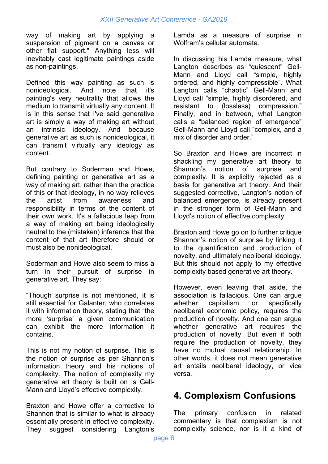way of making art by applying a suspension of pigment on a canvas or other flat support." Anything less will inevitably cast legitimate paintings aside as non-paintings.

Defined this way painting as such is nonideological. And note that it's painting's very neutrality that allows the medium to transmit virtually any content. It is in this sense that I've said generative art is simply a way of making art without an intrinsic ideology. And because generative art as such is nonideological, it can transmit virtually any ideology as content.

But contrary to Soderman and Howe, defining painting or generative art as a way of making art, rather than the practice of this or that ideology, in no way relieves the artist from awareness and responsibility in terms of the content of their own work. It's a fallacious leap from a way of making art being ideologically neutral to the (mistaken) inference that the content of that art therefore should or must also be nonideological.

Soderman and Howe also seem to miss a turn in their pursuit of surprise in generative art. They say:

"Though surprise is not mentioned, it is still essential for Galanter, who correlates it with information theory, stating that "the more 'surprise' a given communication can exhibit the more information it contains."

This is not my notion of surprise. This is the notion of surprise as per Shannon's information theory and his notions of complexity. The notion of complexity my generative art theory is built on is Gell-Mann and Lloyd's effective complexity.

Braxton and Howe offer a corrective to Shannon that is similar to what is already essentially present in effective complexity. They suggest considering Langton's Lamda as a measure of surprise in Wolfram's cellular automata.

In discussing his Lamda measure, what Langton describes as "quiescent" Gell-Mann and Lloyd call "simple, highly ordered, and highly compressible". What Langton calls "chaotic" Gell-Mann and Lloyd call "simple, highly disordered, and resistant to (lossless) compression." Finally, and in between, what Langton calls a "balanced region of emergence" Gell-Mann and Lloyd call "complex, and a mix of disorder and order."

So Braxton and Howe are incorrect in shackling my generative art theory to Shannon's notion of surprise and complexity. It is explicitly rejected as a basis for generative art theory. And their suggested corrective, Langton's notion of balanced emergence, is already present in the stronger form of Gell-Mann and Lloyd's notion of effective complexity.

Braxton and Howe go on to further critique Shannon's notion of surprise by linking it to the quantification and production of novelty, and ultimately neoliberal ideology. But this should not apply to my effective complexity based generative art theory.

However, even leaving that aside, the association is fallacious. One can argue whether capitalism, or specifically neoliberal economic policy, requires the production of novelty. And one can argue whether generative art requires the production of novelty. But even if both require the production of novelty, they have no mutual causal relationship. In other words, it does not mean generative art entails neoliberal ideology, or vice versa.

## **4. Complexism Confusions**

The primary confusion in related commentary is that complexism is not complexity science, nor is it a kind of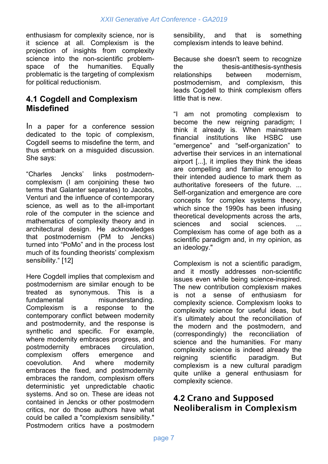enthusiasm for complexity science, nor is it science at all. Complexism is the projection of insights from complexity science into the non-scientific problemspace of the humanities. Equally problematic is the targeting of complexism for political reductionism.

### **4.1 Cogdell and Complexism Misdefined**

In a paper for a conference session dedicated to the topic of complexism, Cogdell seems to misdefine the term, and thus embark on a misguided discussion. She says:

"Charles Jencks' links postmoderncomplexism (I am conjoining these two terms that Galanter separates) to Jacobs, Venturi and the influence of contemporary science, as well as to the all-important role of the computer in the science and mathematics of complexity theory and in architectural design. He acknowledges that postmodernism (PM to Jencks) turned into "PoMo" and in the process lost much of its founding theorists' complexism sensibility." [12]

Here Cogdell implies that complexism and postmodernism are similar enough to be treated as synonymous. This is a fundamental misunderstanding. Complexism is a response to the contemporary conflict between modernity and postmodernity, and the response is synthetic and specific. For example, where modernity embraces progress, and postmodernity embraces circulation, complexism offers emergence and coevolution. And where modernity embraces the fixed, and postmodernity embraces the random, complexism offers deterministic yet unpredictable chaotic systems. And so on. These are ideas not contained in Jencks or other postmodern critics, nor do those authors have what could be called a "complexism sensibility." Postmodern critics have a postmodern

sensibility, and that is something complexism intends to leave behind.

Because she doesn't seem to recognize the thesis-antithesis-synthesis relationships between modernism, postmodernism, and complexism, this leads Cogdell to think complexism offers little that is new.

"I am not promoting complexism to become the new reigning paradigm; I think it already is. When mainstream financial institutions like HSBC use "emergence" and "self-organization" to advertise their services in an international airport [...], it implies they think the ideas are compelling and familiar enough to their intended audience to mark them as authoritative foreseers of the future. ... Self-organization and emergence are core concepts for complex systems theory, which since the 1990s has been infusing theoretical developments across the arts, sciences and social sciences. ... Complexism has come of age both as a scientific paradigm and, in my opinion, as an ideology."

Complexism is not a scientific paradigm, and it mostly addresses non-scientific issues even while being science-inspired. The new contribution complexism makes is not a sense of enthusiasm for complexity science. Complexism looks to complexity science for useful ideas, but it's ultimately about the reconciliation of the modern and the postmodern, and (correspondingly) the reconciliation of science and the humanities. For many complexity science is indeed already the reigning scientific paradigm. But complexism is a new cultural paradigm quite unlike a general enthusiasm for complexity science.

### **4.2** Crano and Supposed Neoliberalism in Complexism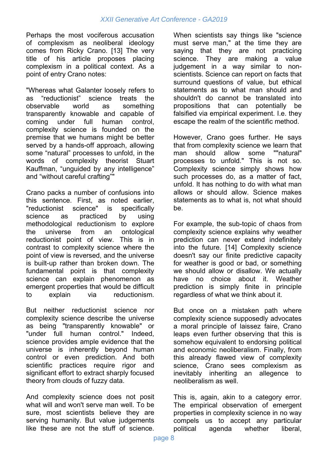Perhaps the most vociferous accusation of complexism as neoliberal ideology comes from Ricky Crano. [13] The very title of his article proposes placing complexism in a political context. As a point of entry Crano notes:

"Whereas what Galanter loosely refers to as "reductionist" science treats the observable world as something transparently knowable and capable of coming under full human control, complexity science is founded on the premise that we humans might be better served by a hands-off approach, allowing some "natural" processes to unfold, in the words of complexity theorist Stuart Kauffman, "unguided by any intelligence" and "without careful crafting""

Crano packs a number of confusions into this sentence. First, as noted earlier, "reductionist science" is specifically science as practiced by using methodological reductionism to explore the universe from an ontological reductionist point of view. This is in contrast to complexity science where the point of view is reversed, and the universe is built-up rather than broken down. The fundamental point is that complexity science can explain phenomenon as emergent properties that would be difficult to explain via reductionism.

But neither reductionist science nor complexity science describe the universe as being "transparently knowable" or "under full human control." Indeed, science provides ample evidence that the universe is inherently beyond human control or even prediction. And both scientific practices require rigor and significant effort to extract sharply focused theory from clouds of fuzzy data.

And complexity science does not posit what will and won't serve man well. To be sure, most scientists believe they are serving humanity. But value judgements like these are not the stuff of science.

When scientists say things like "science must serve man," at the time they are saying that they are not practicing science. They are making a value judgement in a way similar to nonscientists. Science can report on facts that surround questions of value, but ethical statements as to what man should and shouldn't do cannot be translated into propositions that can potentially be falsified via empirical experiment. I.e. they escape the realm of the scientific method.

However, Crano goes further. He says that from complexity science we learn that man should allow some ""natural" processes to unfold." This is not so. Complexity science simply shows how such processes do, as a matter of fact, unfold. It has nothing to do with what man allows or should allow. Science makes statements as to what is, not what should be.

For example, the sub-topic of chaos from complexity science explains why weather prediction can never extend indefinitely into the future. [14] Complexity science doesn't say our finite predictive capacity for weather is good or bad, or something we should allow or disallow. We actually have no choice about it. Weather prediction is simply finite in principle regardless of what we think about it.

But once on a mistaken path where complexity science supposedly advocates a moral principle of laissez faire, Crano leaps even further observing that this is somehow equivalent to endorsing political and economic neoliberalism. Finally, from this already flawed view of complexity science, Crano sees complexism as inevitably inheriting an allegence to neoliberalism as well.

This is, again, akin to a category error. The empirical observation of emergent properties in complexity science in no way compels us to accept any particular political agenda whether liberal,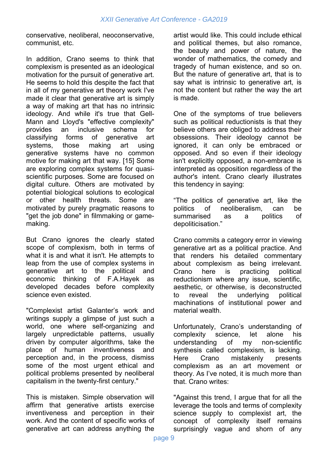conservative, neoliberal, neoconservative, communist, etc.

In addition, Crano seems to think that complexism is presented as an ideological motivation for the pursuit of generative art. He seems to hold this despite the fact that in all of my generative art theory work I've made it clear that generative art is simply a way of making art that has no intrinsic ideology. And while it's true that Gell-Mann and Lloyd's "effective complexity" provides an inclusive schema for classifying forms of generative art systems, those making art using generative systems have no common motive for making art that way. [15] Some are exploring complex systems for quasiscientific purposes. Some are focused on digital culture. Others are motivated by potential biological solutions to ecological or other health threats. Some are motivated by purely pragmatic reasons to "get the job done" in filmmaking or gamemaking.

But Crano ignores the clearly stated scope of complexism, both in terms of what it is and what it isn't. He attempts to leap from the use of complex systems in generative art to the political and economic thinking of F.A.Hayek as developed decades before complexity science even existed.

"Complexist artist Galanter's work and writings supply a glimpse of just such a world, one where self-organizing and largely unpredictable patterns, usually driven by computer algorithms, take the place of human inventiveness and perception and, in the process, dismiss some of the most urgent ethical and political problems presented by neoliberal capitalism in the twenty-first century."

This is mistaken. Simple observation will affirm that generative artists exercise inventiveness and perception in their work. And the content of specific works of generative art can address anything the

artist would like. This could include ethical and political themes, but also romance, the beauty and power of nature, the wonder of mathematics, the comedy and tragedy of human existence, and so on. But the nature of generative art, that is to say what is intrinsic to generative art, is not the content but rather the way the art is made.

One of the symptoms of true believers such as political reductionists is that they believe others are obliged to address their obsessions. Their ideology cannot be ignored, it can only be embraced or opposed. And so even if their ideology isn't explicitly opposed, a non-embrace is interpreted as opposition regardless of the author's intent. Crano clearly illustrates this tendency in saying:

"The politics of generative art, like the politics of neoliberalism, can be summarised as a politics of depoliticisation."

Crano commits a category error in viewing generative art as a political practice. And that renders his detailed commentary about complexism as being irrelevant. Crano here is practicing political reductionism where any issue, scientific, aesthetic, or otherwise, is deconstructed to reveal the underlying political machinations of institutional power and material wealth.

Unfortunately, Crano's understanding of complexity science, let alone his understanding of my non-scientific synthesis called complexism, is lacking. Here Crano mistakenly presents complexism as an art movement or theory. As I've noted, it is much more than that. Crano writes:

"Against this trend, I argue that for all the leverage the tools and terms of complexity science supply to complexist art, the concept of complexity itself remains surprisingly vague and shorn of any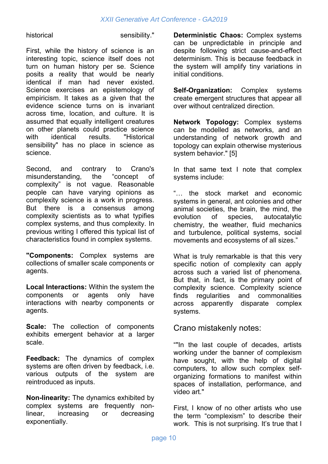historical sensibility."

First, while the history of science is an interesting topic, science itself does not turn on human history per se. Science posits a reality that would be nearly identical if man had never existed. Science exercises an epistemology of empiricism. It takes as a given that the evidence science turns on is invariant across time, location, and culture. It is assumed that equally intelligent creatures on other planets could practice science with identical results. "Historical sensibility" has no place in science as science.

Second, and contrary to Crano's misunderstanding, the "concept of complexity" is not vague. Reasonable people can have varying opinions as complexity science is a work in progress. But there is a consensus among complexity scientists as to what typifies complex systems, and thus complexity. In previous writing I offered this typical list of characteristics found in complex systems.

**"Components:** Complex systems are collections of smaller scale components or agents.

**Local Interactions:** Within the system the components or agents only have interactions with nearby components or agents.

**Scale:** The collection of components exhibits emergent behavior at a larger scale.

**Feedback:** The dynamics of complex systems are often driven by feedback, i.e. various outputs of the system are reintroduced as inputs.

**Non-linearity:** The dynamics exhibited by complex systems are frequently nonlinear, increasing or decreasing exponentially.

**Deterministic Chaos:** Complex systems can be unpredictable in principle and despite following strict cause-and-effect determinism. This is because feedback in the system will amplify tiny variations in initial conditions.

**Self-Organization:** Complex systems create emergent structures that appear all over without centralized direction.

**Network Topology:** Complex systems can be modelled as networks, and an understanding of network growth and topology can explain otherwise mysterious system behavior." [5]

In that same text I note that complex systems include:

"… the stock market and economic systems in general, ant colonies and other animal societies, the brain, the mind, the evolution of species, autocatalytic chemistry, the weather, fluid mechanics and turbulence, political systems, social movements and ecosystems of all sizes."

What is truly remarkable is that this very specific notion of complexity can apply across such a varied list of phenomena. But that, in fact, is the primary point of complexity science. Complexity science finds regularities and commonalities across apparently disparate complex systems.

#### Crano mistakenly notes:

""In the last couple of decades, artists working under the banner of complexism have sought, with the help of digital computers, to allow such complex selforganizing formations to manifest within spaces of installation, performance, and video art."

First, I know of no other artists who use the term "complexism" to describe their work. This is not surprising. It's true that I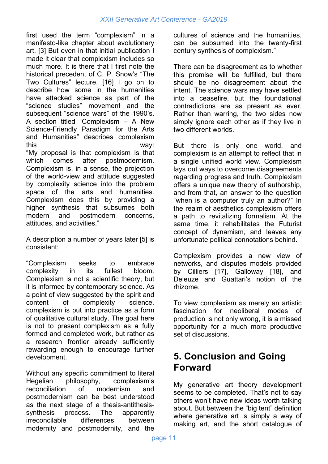first used the term "complexism" in a manifesto-like chapter about evolutionary art. [3] But even in that initial publication I made it clear that complexism includes so much more. It is there that I first note the historical precedent of C. P. Snow's "The Two Cultures" lecture. [16] I go on to describe how some in the humanities have attacked science as part of the "science studies" movement and the subsequent "science wars" of the 1990's. A section titled "Complexism – A New Science-Friendly Paradigm for the Arts and Humanities" describes complexism this way: "My proposal is that complexism is that which comes after postmodernism. Complexism is, in a sense, the projection of the world-view and attitude suggested by complexity science into the problem space of the arts and humanities. Complexism does this by providing a higher synthesis that subsumes both modern and postmodern concerns, attitudes, and activities."

A description a number of years later [5] is consistent:

"Complexism seeks to embrace complexity in its fullest bloom. Complexism is not a scientific theory, but it is informed by contemporary science. As a point of view suggested by the spirit and content of complexity science, complexism is put into practice as a form of qualitative cultural study. The goal here is not to present complexism as a fully formed and completed work, but rather as a research frontier already sufficiently rewarding enough to encourage further development.

Without any specific commitment to literal Hegelian philosophy, complexism's reconciliation of modernism and postmodernism can be best understood as the next stage of a thesis-antithesissynthesis process. The apparently irreconcilable differences between modernity and postmodernity, and the

cultures of science and the humanities, can be subsumed into the twenty-first century synthesis of complexism."

There can be disagreement as to whether this promise will be fulfilled, but there should be no disagreement about the intent. The science wars may have settled into a ceasefire, but the foundational contradictions are as present as ever. Rather than warring, the two sides now simply ignore each other as if they live in two different worlds.

But there is only one world, and complexism is an attempt to reflect that in a single unified world view. Complexism lays out ways to overcome disagreements regarding progress and truth. Complexism offers a unique new theory of authorship, and from that, an answer to the question "when is a computer truly an author?" In the realm of aesthetics complexism offers a path to revitalizing formalism. At the same time, it rehabilitates the Futurist concept of dynamism, and leaves any unfortunate political connotations behind.

Complexism provides a new view of networks, and disputes models provided by Cilliers [17], Galloway [18], and Deleuze and Guattari's notion of the rhizome.

To view complexism as merely an artistic fascination for neoliberal modes of production is not only wrong, it is a missed opportunity for a much more productive set of discussions.

## **5. Conclusion and Going Forward**

My generative art theory development seems to be completed. That's not to say others won't have new ideas worth talking about. But between the "big tent" definition where generative art is simply a way of making art, and the short catalogue of